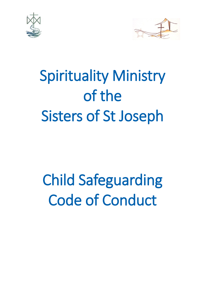



# Spirituality Ministry of the Sisters of St Joseph

# Child Safeguarding Code of Conduct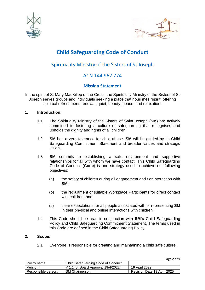



## **Child Safeguarding Code of Conduct**

## Spirituality Ministry of the Sisters of St Joseph

### ACN 144 962 774

### **Mission Statement**

In the spirit of St Mary MacKillop of the Cross, the Spirituality Ministry of the Sisters of St Joseph serves groups and individuals seeking a place that nourishes "spirit" offering spiritual refreshment, renewal, quiet, beauty, peace, and relaxation.

#### **1. Introduction:**

- 1.1 The Spirituality Ministry of the Sisters of Saint Joseph (**SM**) are actively committed to fostering a culture of safeguarding that recognises and upholds the dignity and rights of all children.
- 1.2 **SM** has a zero tolerance for child abuse. **SM** will be guided by its Child Safeguarding Commitment Statement and broader values and strategic vision.
- 1.3 **SM** commits to establishing a safe environment and supportive relationships for all with whom we have contact. This Child Safeguarding Code of Conduct (**Code**) is one strategy used to achieve our following objectives:
	- (a) the safety of children during all engagement and / or interaction with **SM**;
	- (b) the recruitment of suitable Workplace Participants for direct contact with children; and
	- (c) clear expectations for all people associated with or representing **SM** in their physical and online interactions with children.
- 1.4 This Code should be read in conjunction with **SM's** Child Safeguarding Policy and Child Safeguarding Commitment Statement. The terms used in this Code are defined in the Child Safeguarding Policy.

#### **2. Scope:**

2.1 Everyone is responsible for creating and maintaining a child safe culture.

**Page 2 of 9**

| Policy name:        | Child Safeguarding Code of Conduct |                             |
|---------------------|------------------------------------|-----------------------------|
| Version:            | V 1.1 for Board Approval 19/4/2022 | 19 April 2022               |
| Responsible person: | <b>SM Chairperson</b>              | Revision Date 19 April 2025 |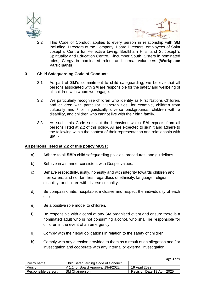



**Page 3 of 9**

2.2 This Code of Conduct applies to every person in relationship with **SM i**ncluding, Directors of the Company, Board Directors, employees of Saint Joseph's Centre for Reflective Living, Baulkham Hills, and St Joseph's Spirituality and Education Centre, Kincumber South, Sisters in nominated roles, Clergy in nominated roles, and formal volunteers (**Workplace Participants**).

#### **3. Child Safeguarding Code of Conduct:**

- 3.1 As part of **SM's** commitment to child safeguarding, we believe that all persons associated with **SM** are responsible for the safety and wellbeing of all children with whom we engage.
- 3.2 We particularly recognise children who identify as First Nations Children, and children with particular, vulnerabilities, for example, children from culturally and / or linguistically diverse backgrounds, children with a disability, and children who cannot live with their birth family.
- 3.3 As such, this Code sets out the behaviour which **SM** expects from all persons listed at 2.2 of this policy. All are expected to sign it and adhere to the following within the context of their representation and relationship with **SM**: -

#### **All persons listed at 2.2 of this policy MUST:**

- a) Adhere to all **SM's** child safeguarding policies, procedures, and guidelines.
- b) Behave in a manner consistent with Gospel values.
- c) Behave respectfully, justly, honestly and with integrity towards children and their carers, and / or families, regardless of ethnicity, language, religion, disability, or children with diverse sexuality.
- d) Be compassionate, hospitable, inclusive and respect the individuality of each child.
- e) Be a positive role model to children.
- f) Be responsible with alcohol at any **SM** organised event and ensure there is a nominated adult who is not consuming alcohol, who shall be responsible for children in the event of an emergency.
- g) Comply with their legal obligations in relation to the safety of children.
- h) Comply with any direction provided to them as a result of an allegation and / or investigation and cooperate with any internal or external investigation.

|                     |                                    | .                           |
|---------------------|------------------------------------|-----------------------------|
| Policy name:        | Child Safeguarding Code of Conduct |                             |
| Version:            | V 1.1 for Board Approval 19/4/2022 | 19 April 2022               |
| Responsible person: | <b>SM Chairperson</b>              | Revision Date 19 April 2025 |
|                     |                                    |                             |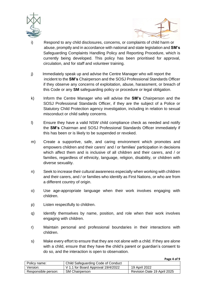



- i) Respond to any child disclosures, concerns, or complaints of child harm or abuse, promptly and in accordance with national and state legislation and **SM's** Safeguarding Complaints Handling Policy and Reporting Procedure, which is currently being developed. This policy has been prioritised for approval, circulation, and for staff and volunteer training.
- j) Immediately speak up and advise the Centre Manager who will report the incident to the **SM's** Chairperson and the SOSJ Professional Standards Officer if they observe any concerns of exploitation, abuse, harassment, or breach of this Code or any **SM** safeguarding policy or procedure or legal obligation.
- k) Inform the Centre Manager who will advise the **SM's** Chairperson and the SOSJ Professional Standards Officer, if they are the subject of a Police or Statutory Child Protection agency investigation, including in relation to sexual misconduct or child safety concerns.
- l) Ensure they have a valid NSW child compliance check as needed and notify the **SM's** Chairman and SOSJ Professional Standards Officer immediately if this has been or is likely to be suspended or revoked.
- m) Create a supportive, safe, and caring environment which promotes and empowers children and their carers' and / or families' participation in decisions which affect them and is inclusive of all children and their carers, and / or families, regardless of ethnicity, language, religion, disability, or children with diverse sexuality.
- n) Seek to increase their cultural awareness especially when working with children and their carers, and / or families who identify as First Nations, or who are from a different country of origin.
- o) Use age-appropriate language when their work involves engaging with children.
- p) Listen respectfully to children.
- q) Identify themselves by name, position, and role when their work involves engaging with children.
- r) Maintain personal and professional boundaries in their interactions with children.
- s) Make every effort to ensure that they are not alone with a child. If they are alone with a child, ensure that they have the child's parent or guardian's consent to do so, and the interaction is open to observation.

**Page 4 of 9**

| Policy name:        | Child Safeguarding Code of Conduct |                             |
|---------------------|------------------------------------|-----------------------------|
| Version:            | V 1.1 for Board Approval 19/4/2022 | 19 April 2022               |
| Responsible person: | <b>SM Chairperson</b>              | Revision Date 19 April 2025 |
|                     |                                    |                             |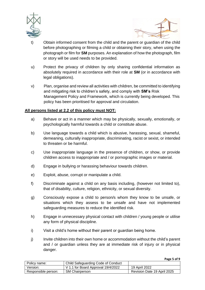



- t) Obtain informed consent from the child and the parent or guardian of the child before photographing or filming a child or obtaining their story, when using the photograph or film for **SM** purposes. An explanation of how the photograph, film or story will be used needs to be provided.
- u) Protect the privacy of children by only sharing confidential information as absolutely required in accordance with their role at **SM** (or in accordance with legal obligations).
- v) Plan, organise and review all activities with children, be committed to identifying and mitigating risk to children's safety, and comply with **SM's** Risk Management Policy and Framework, which is currently being developed. This policy has been prioritised for approval and circulation.

#### **All persons listed at 2.2 of this policy must NOT:**

- a) Behave or act in a manner which may be physically, sexually, emotionally, or psychologically harmful towards a child or constitute abuse.
- b) Use language towards a child which is abusive, harassing, sexual, shameful, demeaning, culturally inappropriate, discriminating, racist or sexist, or intended to threaten or be harmful.
- c) Use inappropriate language in the presence of children, or show, or provide children access to inappropriate and / or pornographic images or material.
- d) Engage in bullying or harassing behaviour towards children.
- e) Exploit, abuse, corrupt or manipulate a child.
- f) Discriminate against a child on any basis including, (however not limited to), that of disability, culture, religion, ethnicity, or sexual diversity.
- g) Consciously expose a child to person/s whom they know to be unsafe, or situations which they assess to be unsafe and have not implemented safeguarding measures to reduce the identified risk.
- h) Engage in unnecessary physical contact with children / young people or utilise any form of physical discipline.
- i) Visit a child's home without their parent or guardian being home.
- j) Invite children into their own home or accommodation without the child's parent and / or guardian unless they are at immediate risk of injury or in physical danger.

| Policy name:        | Child Safeguarding Code of Conduct |                             |
|---------------------|------------------------------------|-----------------------------|
| Version:            | V 1.1 for Board Approval 19/4/2022 | 19 April 2022               |
| Responsible person: | <b>SM Chairperson</b>              | Revision Date 19 April 2025 |

**Page 5 of 9**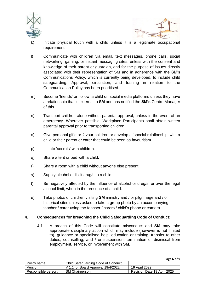



**Page 6 of 9**

- k) Initiate physical touch with a child unless it is a legitimate occupational requirement.
- l) Communicate with children via email, text messages, phone calls, social networking, gaming, or instant messaging sites, unless with the consent and knowledge of their parent or guardian, and for the purpose of issues directly associated with their representation of SM and in adherence with the SM's Communications Policy, which is currently being developed, to include child safeguarding. Approval, circulation, and training in relation to the Communication Policy has been prioritised.
- m) Become 'friends' or 'follow' a child on social media platforms unless they have a relationship that is external to **SM** and has notified the **SM's** Centre Manager of this.
- n) Transport children alone without parental approval, unless in the event of an emergency. Wherever possible, Workplace Participants shall obtain written parental approval prior to transporting children.
- o) Give personal gifts or favour children or develop a 'special relationship' with a child or their parent or carer that could be seen as favouritism.
- p) Initiate 'secrets' with children.
- q) Share a tent or bed with a child.
- r) Share a room with a child without anyone else present.
- s) Supply alcohol or illicit drug/s to a child.
- t) Be negatively affected by the influence of alcohol or drug/s, or over the legal alcohol limit, when in the presence of a child.
- u) Take photos of children visiting **SM** ministry and / or pilgrimage and / or historical sites unless asked to take a group photo by an accompanying teacher / carer using the teacher / carers / child's phone or camera.

#### **4. Consequences for breaching the Child Safeguarding Code of Conduct:**

4.1 A breach of this Code will constitute misconduct and **SM** may take appropriate disciplinary action which may include (however is not limited to), guidance or specialised help, education or training, transfer to other duties, counselling, and / or suspension, termination or dismissal from employment, service, or involvement with **SM**.

| Policy name:        | Child Safeguarding Code of Conduct |                             |
|---------------------|------------------------------------|-----------------------------|
| Version:            | V 1.1 for Board Approval 19/4/2022 | 19 April 2022               |
| Responsible person: | <b>SM Chairperson</b>              | Revision Date 19 April 2025 |
|                     |                                    |                             |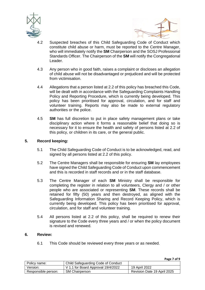



- 4.2 Suspected breaches of this Child Safeguarding Code of Conduct which constitute child abuse or harm, must be reported to the Centre Manager, who will immediately notify the **SM** Chairperson and the SOSJ Professional Standards Officer. The Chairperson of the **SM** will notify the Congregational Leader.
- 4.3 Any person who in good faith, raises a complaint or discloses an allegation of child abuse will not be disadvantaged or prejudiced and will be protected from victimisation.
- 4.4 Allegations that a person listed at 2.2 of this policy has breached this Code, will be dealt with in accordance with the Safeguarding Complaints Handling Policy and Reporting Procedure, which is currently being developed. This policy has been prioritised for approval, circulation, and for staff and volunteer training. Reports may also be made to external regulatory authorities or the police.
- 4.5 **SM** has full discretion to put in place safety management plans or take disciplinary action where it forms a reasonable belief that doing so is necessary for it to ensure the health and safety of persons listed at 2.2 of this policy, or children in its care, or the general public.

#### **5. Record keeping:**

- 5.1 The Child Safeguarding Code of Conduct is to be acknowledged, read, and signed by all persons listed at 2.2 of this policy.
- 5.2 The Centre Managers shall be responsible for ensuring **SM** lay employees have signed the Child Safeguarding Code of Conduct upon commencement and this is recorded in staff records and or in the staff database.
- 5.3 The Centre Manager of each **SM** Ministry shall be responsible for completing the register in relation to all volunteers, Clergy and / or other people who are associated or representing **SM**. These records shall be retained for fifty (50) years and then destroyed, as aligned with the Safeguarding Information Sharing and Record Keeping Policy, which is currently being developed. This policy has been prioritised for approval, circulation, and for staff and volunteer training.
- 5.4 All persons listed at 2.2 of this policy, shall be required to renew their signature to the Code every three years and / or when the policy document is revised and renewed.

#### **6. Review:**

6.1 This Code should be reviewed every three years or as needed.

**Page 7 of 9**

| Policy name:        | Child Safeguarding Code of Conduct |                             |
|---------------------|------------------------------------|-----------------------------|
| Version:            | V 1.1 for Board Approval 19/4/2022 | 19 April 2022               |
| Responsible person: | <b>SM Chairperson</b>              | Revision Date 19 April 2025 |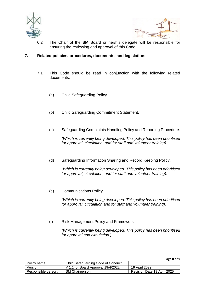



6.2 The Chair of the **SM** Board or her/his delegate will be responsible for ensuring the reviewing and approval of this Code.

#### **7. Related policies, procedures, documents, and legislation:**

- 7.1 This Code should be read in conjunction with the following related documents:
	- (a) Child Safeguarding Policy.
	- (b) Child Safeguarding Commitment Statement.
	- (c) Safeguarding Complaints Handling Policy and Reporting Procedure.

*(Which is currently being developed. This policy has been prioritised for approval, circulation, and for staff and volunteer training).*

(d) Safeguarding Information Sharing and Record Keeping Policy.

*(Which is currently being developed. This policy has been prioritised for approval, circulation, and for staff and volunteer training).*

(e) Communications Policy.

*(Which is currently being developed. This policy has been prioritised for approval, circulation and for staff and volunteer training).*

(f) Risk Management Policy and Framework*.*

*(Which is currently being developed. This policy has been prioritised for approval and circulation.)*

**Page 8 of 9**

| Policy name:        | Child Safeguarding Code of Conduct |                             |
|---------------------|------------------------------------|-----------------------------|
| Version:            | V 1.1 for Board Approval 19/4/2022 | 19 April 2022               |
| Responsible person: | <b>SM Chairperson</b>              | Revision Date 19 April 2025 |